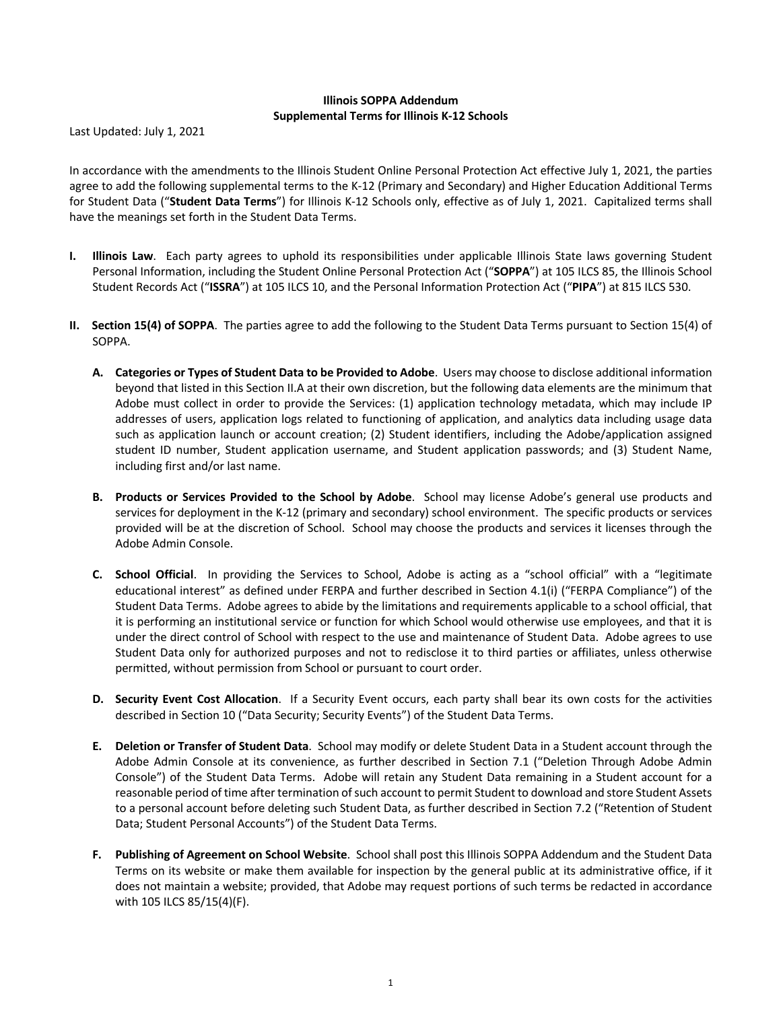## **Illinois SOPPA Addendum Supplemental Terms for Illinois K-12 Schools**

Last Updated: July 1, 2021

In accordance with the amendments to the Illinois Student Online Personal Protection Act effective July 1, 2021, the parties agree to add the following supplemental terms to the K-12 (Primary and Secondary) and Higher Education Additional Terms for Student Data ("**Student Data Terms**") for Illinois K-12 Schools only, effective as of July 1, 2021. Capitalized terms shall have the meanings set forth in the Student Data Terms.

- **I. Illinois Law**. Each party agrees to uphold its responsibilities under applicable Illinois State laws governing Student Personal Information, including the Student Online Personal Protection Act ("**SOPPA**") at 105 ILCS 85, the Illinois School Student Records Act ("**ISSRA**") at 105 ILCS 10, and the Personal Information Protection Act ("**PIPA**") at 815 ILCS 530.
- **II. Section 15(4) of SOPPA**. The parties agree to add the following to the Student Data Terms pursuant to Section 15(4) of SOPPA.
	- **A. Categories or Types of Student Data to be Provided to Adobe**. Users may choose to disclose additional information beyond that listed in this Section II.A at their own discretion, but the following data elements are the minimum that Adobe must collect in order to provide the Services: (1) application technology metadata, which may include IP addresses of users, application logs related to functioning of application, and analytics data including usage data such as application launch or account creation; (2) Student identifiers, including the Adobe/application assigned student ID number, Student application username, and Student application passwords; and (3) Student Name, including first and/or last name.
	- **B. Products or Services Provided to the School by Adobe**. School may license Adobe's general use products and services for deployment in the K-12 (primary and secondary) school environment. The specific products or services provided will be at the discretion of School. School may choose the products and services it licenses through the Adobe Admin Console.
	- **C. School Official**. In providing the Services to School, Adobe is acting as a "school official" with a "legitimate educational interest" as defined under FERPA and further described in Section 4.1(i) ("FERPA Compliance") of the Student Data Terms. Adobe agrees to abide by the limitations and requirements applicable to a school official, that it is performing an institutional service or function for which School would otherwise use employees, and that it is under the direct control of School with respect to the use and maintenance of Student Data. Adobe agrees to use Student Data only for authorized purposes and not to redisclose it to third parties or affiliates, unless otherwise permitted, without permission from School or pursuant to court order.
	- **D. Security Event Cost Allocation**. If a Security Event occurs, each party shall bear its own costs for the activities described in Section 10 ("Data Security; Security Events") of the Student Data Terms.
	- **E. Deletion or Transfer of Student Data**. School may modify or delete Student Data in a Student account through the Adobe Admin Console at its convenience, as further described in Section 7.1 ("Deletion Through Adobe Admin Console") of the Student Data Terms. Adobe will retain any Student Data remaining in a Student account for a reasonable period of time after termination of such account to permit Student to download and store Student Assets to a personal account before deleting such Student Data, as further described in Section 7.2 ("Retention of Student Data; Student Personal Accounts") of the Student Data Terms.
	- **F. Publishing of Agreement on School Website**. School shall post this Illinois SOPPA Addendum and the Student Data Terms on its website or make them available for inspection by the general public at its administrative office, if it does not maintain a website; provided, that Adobe may request portions of such terms be redacted in accordance with 105 ILCS 85/15(4)(F).